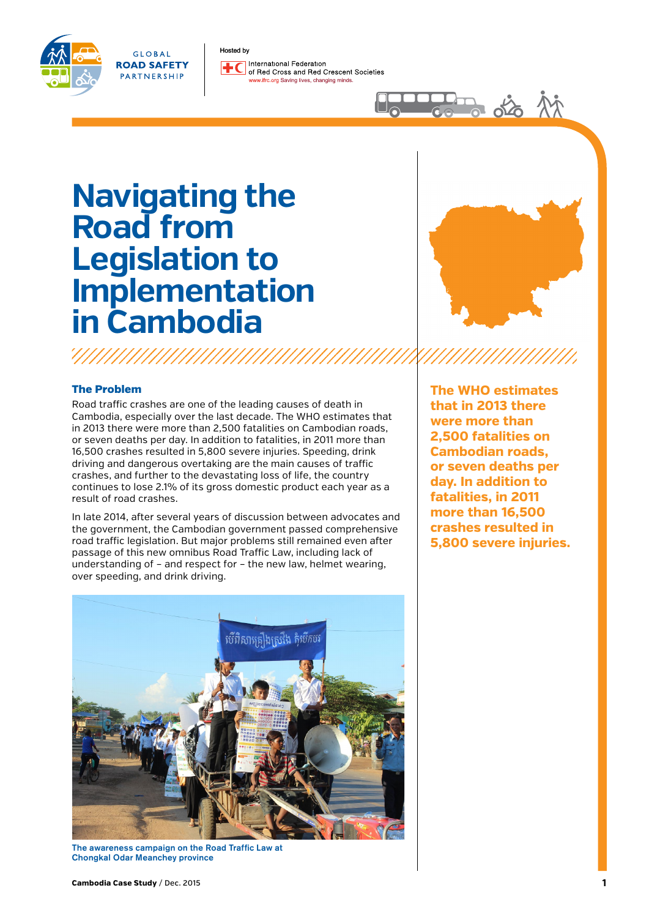

GLOBAL **ROAD SAFETY** PARTNERSHIP

Hosted by International Federation of Bed Cross and Bed Crescent Societies rc.org Saving lives, changing minds.

# **Navigating the Road from Legislation to Implementation in Cambodia**

,,,,,,,,,,,,,,,,,,,,,,,,,,,,,,,,,,,,,

## The Problem

Road traffic crashes are one of the leading causes of death in Cambodia, especially over the last decade. The WHO estimates that in 2013 there were more than 2,500 fatalities on Cambodian roads, or seven deaths per day. In addition to fatalities, in 2011 more than 16,500 crashes resulted in 5,800 severe injuries. Speeding, drink driving and dangerous overtaking are the main causes of traffic crashes, and further to the devastating loss of life, the country continues to lose 2.1% of its gross domestic product each year as a result of road crashes.

In late 2014, after several years of discussion between advocates and the government, the Cambodian government passed comprehensive road traffic legislation. But major problems still remained even after passage of this new omnibus Road Traffic Law, including lack of understanding of – and respect for – the new law, helmet wearing, over speeding, and drink driving.



do a do Ai

**The WHO estimates that in 2013 there were more than 2,500 fatalities on Cambodian roads, or seven deaths per day. In addition to fatalities, in 2011 more than 16,500 crashes resulted in 5,800 severe injuries.** 



The awareness campaign on the Road Traffic Law at Chongkal Odar Meanchey province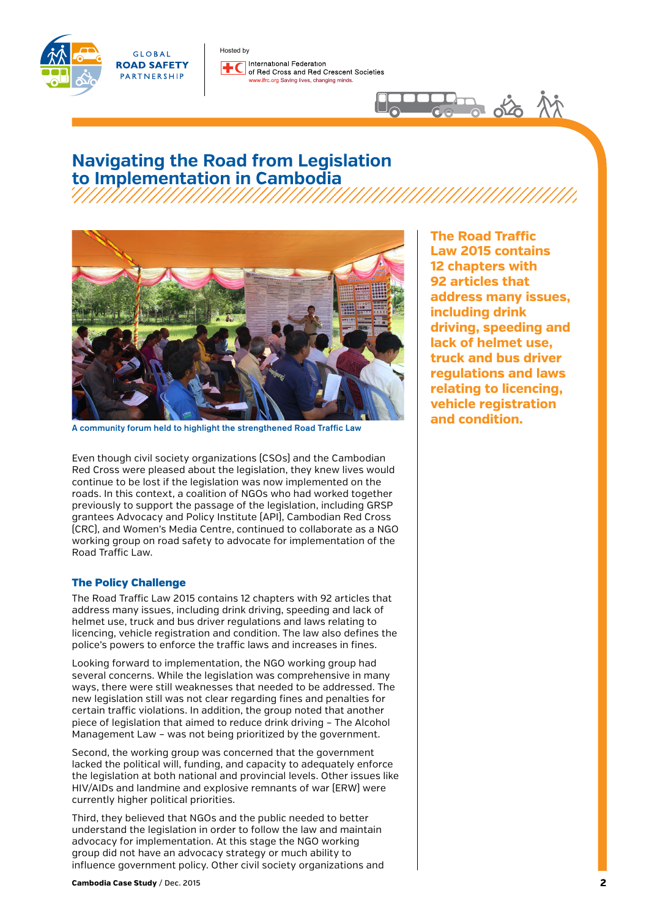



International Federation of Red Cross and Red Crescent Societies rc.org Saving lives, changing minds.

# **Navigating the Road from Legislation to Implementation in Cambodia**

Hosted by



A community forum held to highlight the strengthened Road Traffic Law

Even though civil society organizations (CSOs) and the Cambodian Red Cross were pleased about the legislation, they knew lives would continue to be lost if the legislation was now implemented on the roads. In this context, a coalition of NGOs who had worked together previously to support the passage of the legislation, including GRSP grantees Advocacy and Policy Institute (API), Cambodian Red Cross (CRC), and Women's Media Centre, continued to collaborate as a NGO working group on road safety to advocate for implementation of the Road Traffic Law.

## The Policy Challenge

The Road Traffic Law 2015 contains 12 chapters with 92 articles that address many issues, including drink driving, speeding and lack of helmet use, truck and bus driver regulations and laws relating to licencing, vehicle registration and condition. The law also defines the police's powers to enforce the traffic laws and increases in fines.

Looking forward to implementation, the NGO working group had several concerns. While the legislation was comprehensive in many ways, there were still weaknesses that needed to be addressed. The new legislation still was not clear regarding fines and penalties for certain traffic violations. In addition, the group noted that another piece of legislation that aimed to reduce drink driving – The Alcohol Management Law – was not being prioritized by the government.

Second, the working group was concerned that the government lacked the political will, funding, and capacity to adequately enforce the legislation at both national and provincial levels. Other issues like HIV/AIDs and landmine and explosive remnants of war (ERW) were currently higher political priorities.

Third, they believed that NGOs and the public needed to better understand the legislation in order to follow the law and maintain advocacy for implementation. At this stage the NGO working group did not have an advocacy strategy or much ability to influence government policy. Other civil society organizations and **The Road Traffic Law 2015 contains 12 chapters with 92 articles that address many issues, including drink driving, speeding and lack of helmet use, truck and bus driver regulations and laws relating to licencing, vehicle registration and condition.** 

 $\frac{1}{2}$  of  $\frac{1}{2}$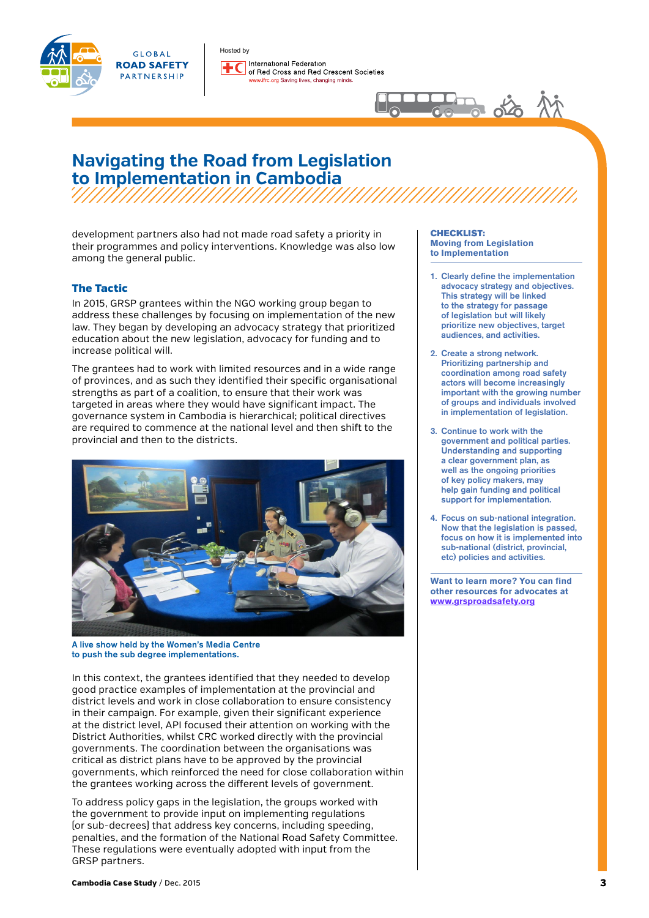



Hosted by International Federation of Red Cross and Red Crescent Societies ifrc.org Saving lives, changing minds.



# **Navigating the Road from Legislation to Implementation in Cambodia**

development partners also had not made road safety a priority in their programmes and policy interventions. Knowledge was also low among the general public.

## The Tactic

In 2015, GRSP grantees within the NGO working group began to address these challenges by focusing on implementation of the new law. They began by developing an advocacy strategy that prioritized education about the new legislation, advocacy for funding and to increase political will.

The grantees had to work with limited resources and in a wide range of provinces, and as such they identified their specific organisational strengths as part of a coalition, to ensure that their work was targeted in areas where they would have significant impact. The governance system in Cambodia is hierarchical; political directives are required to commence at the national level and then shift to the provincial and then to the districts.



A live show held by the Women's Media Centre to push the sub degree implementations.

In this context, the grantees identified that they needed to develop good practice examples of implementation at the provincial and district levels and work in close collaboration to ensure consistency in their campaign. For example, given their significant experience at the district level, API focused their attention on working with the District Authorities, whilst CRC worked directly with the provincial governments. The coordination between the organisations was critical as district plans have to be approved by the provincial governments, which reinforced the need for close collaboration within the grantees working across the different levels of government.

To address policy gaps in the legislation, the groups worked with the government to provide input on implementing regulations (or sub-decrees) that address key concerns, including speeding, penalties, and the formation of the National Road Safety Committee. These regulations were eventually adopted with input from the GRSP partners.

#### CHECKLIST: **Moving from Legislation to Implementation**

- 1. Clearly define the implementation advocacy strategy and objectives. This strategy will be linked to the strategy for passage of legislation but will likely prioritize new objectives, target audiences, and activities.
- 2. Create a strong network. Prioritizing partnership and coordination among road safety actors will become increasingly important with the growing number of groups and individuals involved in implementation of legislation.
- 3. Continue to work with the government and political parties. Understanding and supporting a clear government plan, as well as the ongoing priorities of key policy makers, may help gain funding and political support for implementation.
- 4. Focus on sub-national integration. Now that the legislation is passed, focus on how it is implemented into sub-national (district, provincial, etc) policies and activities.

**Want to learn more? You can find other resources for advocates at [www.grsproadsafety.org](http://www.grsproadsafety.org/what-we-do/road-safety-advocacy)**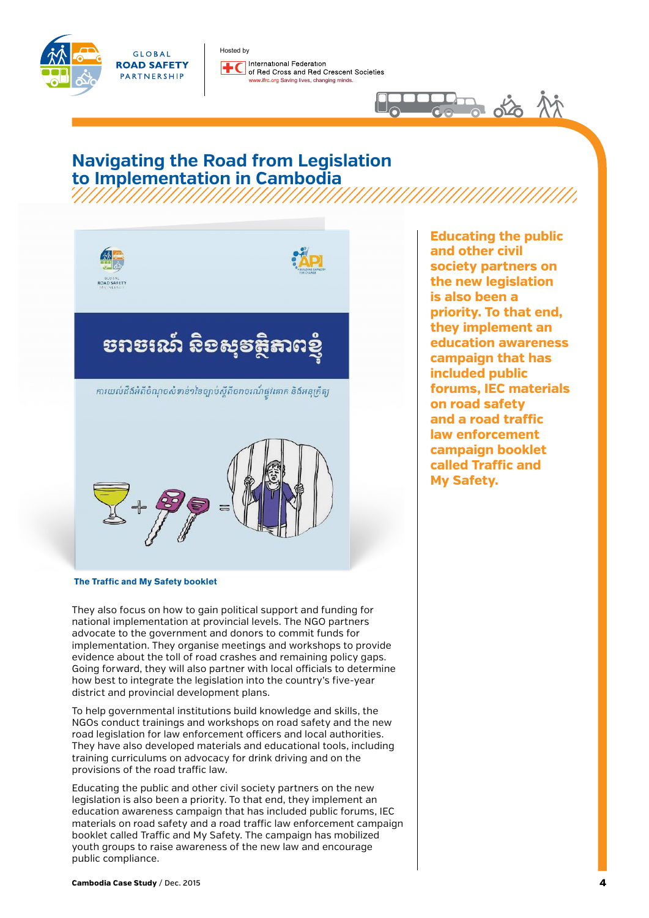



# **Navigating the Road from Legislation to Implementation in Cambodia** ,,,,,,,,,,,,,,,,,,,,,,,,,,,,



 **The Traffic and My Safety booklet**

They also focus on how to gain political support and funding for national implementation at provincial levels. The NGO partners advocate to the government and donors to commit funds for implementation. They organise meetings and workshops to provide evidence about the toll of road crashes and remaining policy gaps. Going forward, they will also partner with local officials to determine how best to integrate the legislation into the country's five-year district and provincial development plans.

To help governmental institutions build knowledge and skills, the NGOs conduct trainings and workshops on road safety and the new road legislation for law enforcement officers and local authorities. They have also developed materials and educational tools, including training curriculums on advocacy for drink driving and on the provisions of the road traffic law.

Educating the public and other civil society partners on the new legislation is also been a priority. To that end, they implement an education awareness campaign that has included public forums, IEC materials on road safety and a road traffic law enforcement campaign booklet called Traffic and My Safety. The campaign has mobilized youth groups to raise awareness of the new law and encourage public compliance.

**Educating the public and other civil society partners on the new legislation is also been a priority. To that end, they implement an education awareness campaign that has included public forums, IEC materials on road safety and a road traffic law enforcement campaign booklet called Traffic and My Safety.** 

品 ぬ